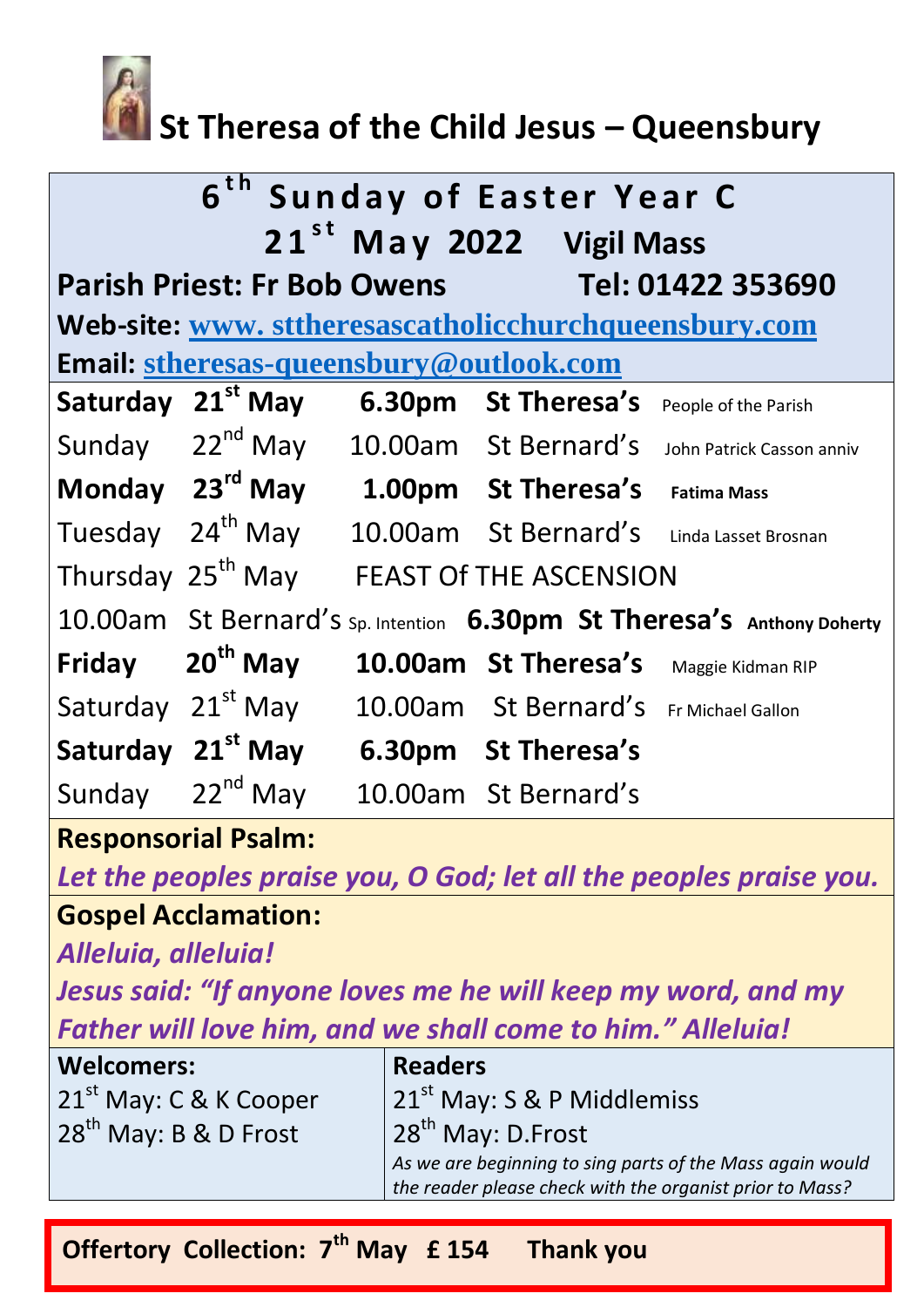

# **St Theresa of the Child Jesus – Queensbury**

|                                                       |                               |        | 6 <sup>th</sup> Sunday of Easter Year C<br>21 <sup>st</sup> May 2022 Vigil Mass |                                                                        |  |
|-------------------------------------------------------|-------------------------------|--------|---------------------------------------------------------------------------------|------------------------------------------------------------------------|--|
| Parish Priest: Fr Bob Owens Tel: 01422 353690         |                               |        |                                                                                 |                                                                        |  |
| Web-site: www. sttheresascatholicchurchqueensbury.com |                               |        |                                                                                 |                                                                        |  |
| Email: stheresas-queensbury@outlook.com               |                               |        |                                                                                 |                                                                        |  |
| Saturday                                              | $21^{\text{st}}$ May          | 6.30pm | <b>St Theresa's</b>                                                             | People of the Parish                                                   |  |
|                                                       | Sunday 22 <sup>nd</sup> May   |        | 10.00am St Bernard's                                                            | John Patrick Casson anniv                                              |  |
|                                                       | Monday 23rd May               |        | 1.00pm St Theresa's                                                             | <b>Fatima Mass</b>                                                     |  |
| Tuesday 24 <sup>th</sup> May                          |                               |        | 10.00am St Bernard's                                                            | Linda Lasset Brosnan                                                   |  |
| Thursday 25 <sup>th</sup> May                         |                               |        | <b>FEAST Of THE ASCENSION</b>                                                   |                                                                        |  |
|                                                       |                               |        |                                                                                 | 10.00am St Bernard's sp. Intention 6.30pm St Theresa's Anthony Doherty |  |
| Friday                                                | $20th$ May                    |        | 10.00am St Theresa's                                                            | Maggie Kidman RIP                                                      |  |
| Saturday 21 <sup>st</sup> May                         |                               |        | 10.00am St Bernard's                                                            | Fr Michael Gallon                                                      |  |
|                                                       | Saturday 21 <sup>st</sup> May |        | 6.30pm St Theresa's                                                             |                                                                        |  |
| Sunday                                                | $22^{nd}$ May                 |        | 10.00am St Bernard's                                                            |                                                                        |  |

### **Responsorial Psalm:**

*Let the peoples praise you, O God; let all the peoples praise you.*

## **Gospel Acclamation:**

*Alleluia, alleluia!*

*Jesus said: "If anyone loves me he will keep my word, and my Father will love him, and we shall come to him." Alleluia!*

| Welcomers:                         | <b>Readers</b>                                                                                                        |
|------------------------------------|-----------------------------------------------------------------------------------------------------------------------|
| 21 <sup>st</sup> May: C & K Cooper | $21st$ May: S & P Middlemiss                                                                                          |
| 28 <sup>th</sup> May: B & D Frost  | 28 <sup>th</sup> May: D.Frost                                                                                         |
|                                    | As we are beginning to sing parts of the Mass again would<br>the reader please check with the organist prior to Mass? |
|                                    |                                                                                                                       |

**Offertory Collection: 7th May £ 154 Thank you**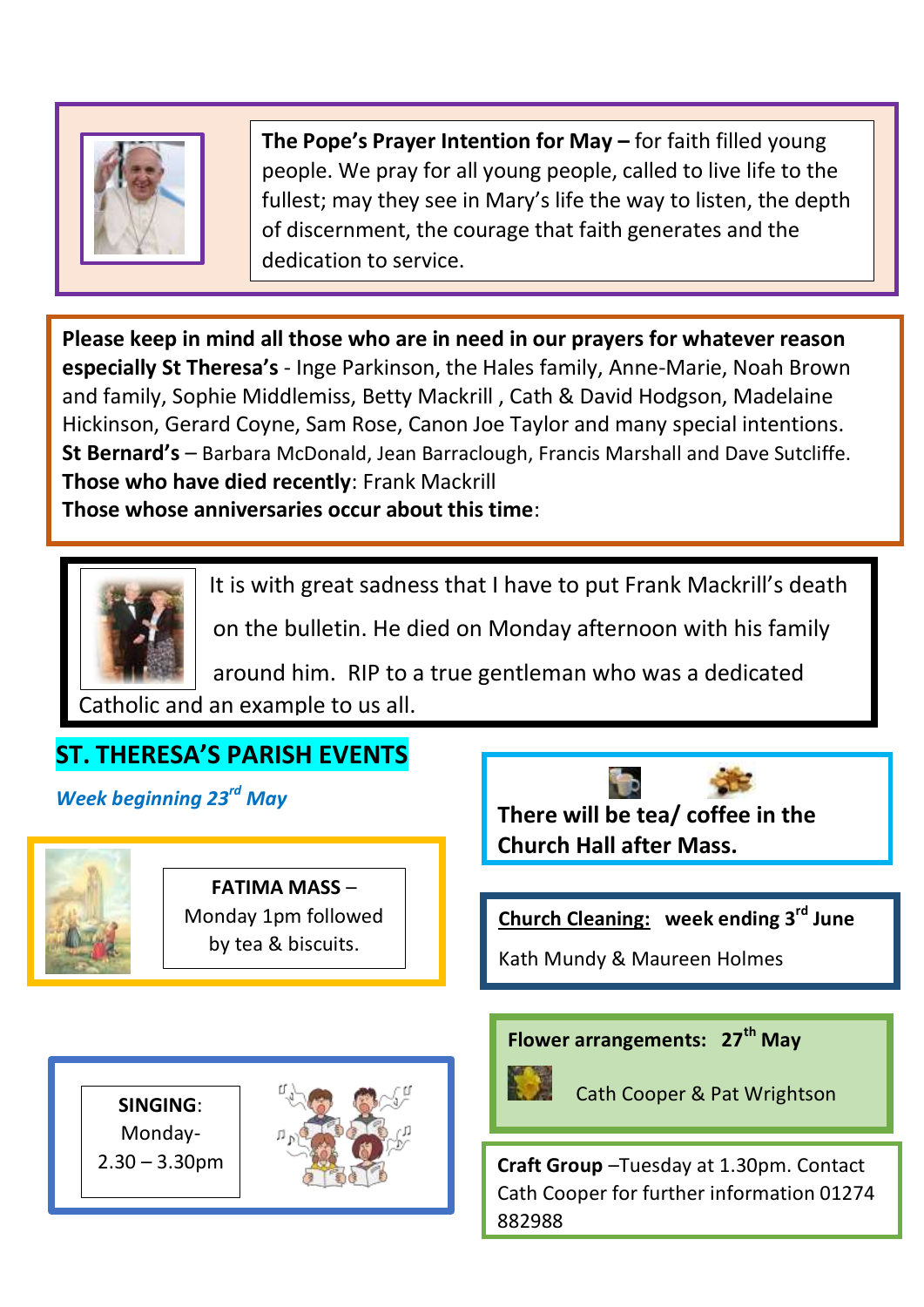

**The Pope's Prayer Intention for May –** for faith filled young people. We pray for all young people, called to live life to the fullest; may they see in Mary's life the way to listen, the depth of discernment, the courage that faith generates and the dedication to service.

**Please keep in mind all those who are in need in our prayers for whatever reason especially St Theresa's** - Inge Parkinson, the Hales family, Anne-Marie, Noah Brown and family, Sophie Middlemiss, Betty Mackrill , Cath & David Hodgson, Madelaine Hickinson, Gerard Coyne, Sam Rose, Canon Joe Taylor and many special intentions. **St Bernard's** – Barbara McDonald, Jean Barraclough, Francis Marshall and Dave Sutcliffe. **Those who have died recently**: Frank Mackrill

**Those whose anniversaries occur about this time**:



It is with great sadness that I have to put Frank Mackrill's death

on the bulletin. He died on Monday afternoon with his family

 around him. RIP to a true gentleman who was a dedicated Catholic and an example to us all.

## **ST. THERESA'S PARISH EVENTS**

*Week beginning 23rd May*



i<br>L

**FATIMA MASS** – Monday 1pm followed by tea & biscuits.

**There will be tea/ coffee in the Church Hall after Mass.** 

**Church Cleaning: week ending 3rd June**

Kath Mundy & Maureen Holmes

**Flower arrangements: 27th May**



Cath Cooper & Pat Wrightson

2.30 – 3.30pm **Craft Group** –Tuesday at 1.30pm. Contact Cath Cooper for further information 01274 882988

**SINGING**: Monday-

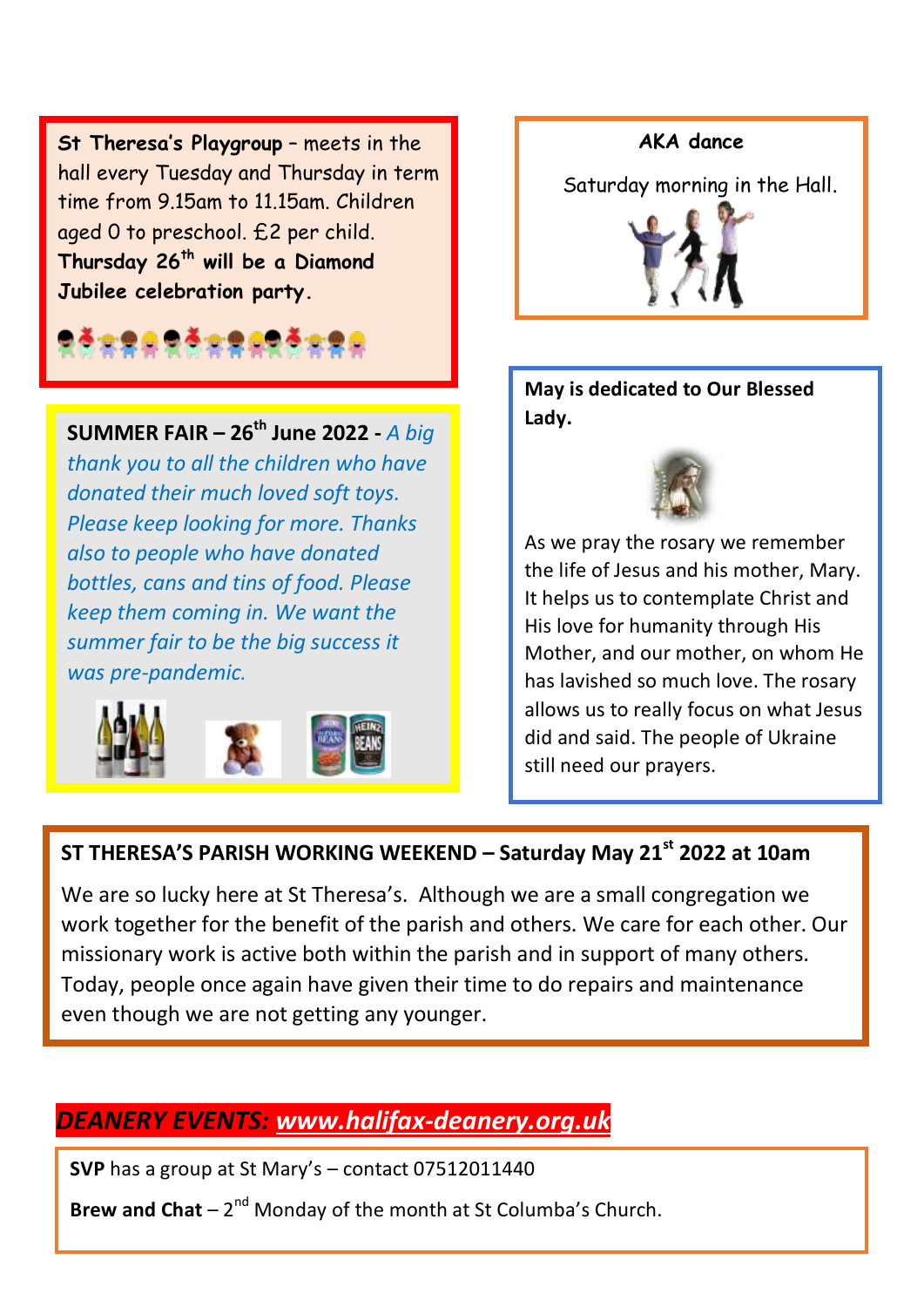**St Theresa's Playgroup** – meets in the hall every Tuesday and Thursday in term time from 9.15am to 11.15am. Children aged 0 to preschool. £2 per child. **Thursday 26th will be a Diamond Jubilee celebration party.**

**SUMMER FAIR – 26th June 2022 -** *A big thank you to all the children who have donated their much loved soft toys. Please keep looking for more. Thanks also to people who have donated bottles, cans and tins of food. Please keep them coming in. We want the summer fair to be the big success it was pre-pandemic.*





**May is dedicated to Our Blessed Lady.**



As we pray the rosary we remember the life of Jesus and his mother, Mary. It helps us to contemplate Christ and His love for humanity through His Mother, and our mother, on whom He has lavished so much love. The rosary allows us to really focus on what Jesus did and said. The people of Ukraine still need our prayers.

#### **ST THERESA'S PARISH WORKING WEEKEND – Saturday May 21st 2022 at 10am**

We are so lucky here at St Theresa's. Although we are a small congregation we work together for the benefit of the parish and others. We care for each other. Our missionary work is active both within the parish and in support of many others. Today, people once again have given their time to do repairs and maintenance even though we are not getting any younger.

## *DEANERY EVENTS: [www.halifax-deanery.org.uk](http://www.halifax-deanery.org.uk/)*

**SVP** has a group at St Mary's – contact 07512011440

Brew and Chat – 2<sup>nd</sup> Monday of the month at St Columba's Church.